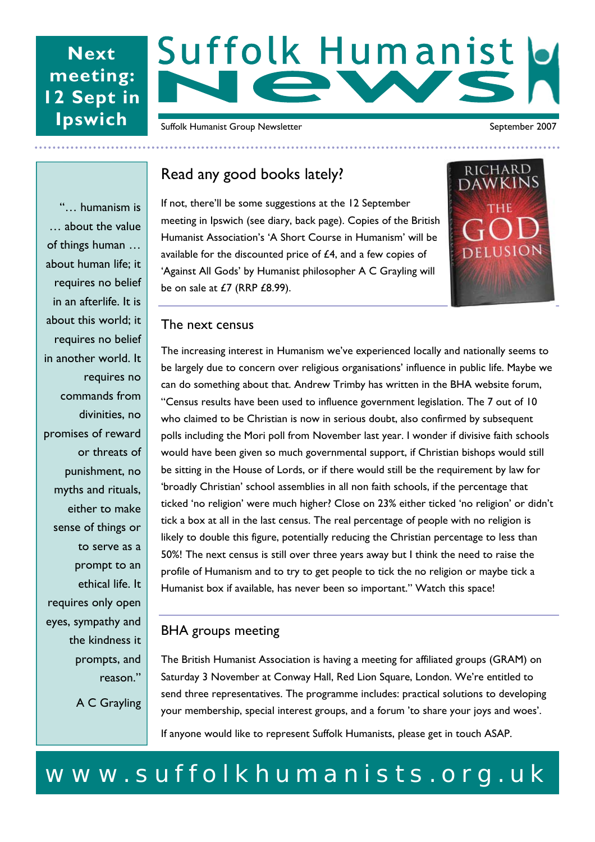# **Next meeting: 12 Sept in Ipswich**

# Suffolk Humanist

#### Suffolk Humanist Group Newsletter September 2007

"… humanism is … about the value of things human … about human life; it requires no belief in an afterlife. It is about this world; it requires no belief in another world. It requires no commands from divinities, no promises of reward or threats of punishment, no myths and rituals, either to make sense of things or to serve as a prompt to an ethical life. It requires only open eyes, sympathy and the kindness it prompts, and reason."

A C Grayling

# Read any good books lately?

If not, there'll be some suggestions at the 12 September meeting in Ipswich (see diary, back page). Copies of the British Humanist Association's 'A Short Course in Humanism' will be available for the discounted price of £4, and a few copies of 'Against All Gods' by Humanist philosopher A C Grayling will be on sale at £7 (RRP £8.99).



### The next census

The increasing interest in Humanism we've experienced locally and nationally seems to be largely due to concern over religious organisations' influence in public life. Maybe we can do something about that. Andrew Trimby has written in the BHA website forum, "Census results have been used to influence government legislation. The 7 out of 10 who claimed to be Christian is now in serious doubt, also confirmed by subsequent polls including the Mori poll from November last year. I wonder if divisive faith schools would have been given so much governmental support, if Christian bishops would still be sitting in the House of Lords, or if there would still be the requirement by law for 'broadly Christian' school assemblies in all non faith schools, if the percentage that ticked 'no religion' were much higher? Close on 23% either ticked 'no religion' or didn't tick a box at all in the last census. The real percentage of people with no religion is likely to double this figure, potentially reducing the Christian percentage to less than 50%! The next census is still over three years away but I think the need to raise the profile of Humanism and to try to get people to tick the no religion or maybe tick a Humanist box if available, has never been so important." Watch this space!

# BHA groups meeting

The British Humanist Association is having a meeting for affiliated groups (GRAM) on Saturday 3 November at Conway Hall, Red Lion Square, London. We're entitled to send three representatives. The programme includes: practical solutions to developing your membership, special interest groups, and a forum 'to share your joys and woes'. If anyone would like to represent Suffolk Humanists, please get in touch ASAP.

# www.suffolkhumanists.org.uk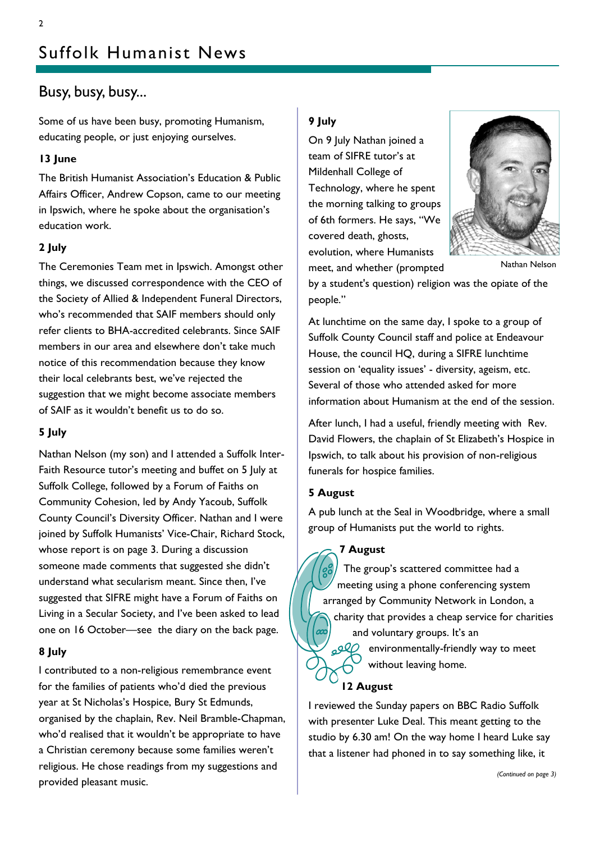# Busy, busy, busy...

Some of us have been busy, promoting Humanism, educating people, or just enjoying ourselves.

## **13 June**

The British Humanist Association's Education & Public Affairs Officer, Andrew Copson, came to our meeting in Ipswich, where he spoke about the organisation's education work.

#### **2 July**

The Ceremonies Team met in Ipswich. Amongst other things, we discussed correspondence with the CEO of the Society of Allied & Independent Funeral Directors, who's recommended that SAIF members should only refer clients to BHA-accredited celebrants. Since SAIF members in our area and elsewhere don't take much notice of this recommendation because they know their local celebrants best, we've rejected the suggestion that we might become associate members of SAIF as it wouldn't benefit us to do so.

#### **5 July**

Nathan Nelson (my son) and I attended a Suffolk Inter-Faith Resource tutor's meeting and buffet on 5 July at Suffolk College, followed by a Forum of Faiths on Community Cohesion, led by Andy Yacoub, Suffolk County Council's Diversity Officer. Nathan and I were joined by Suffolk Humanists' Vice-Chair, Richard Stock, whose report is on page 3. During a discussion someone made comments that suggested she didn't understand what secularism meant. Since then, I've suggested that SIFRE might have a Forum of Faiths on Living in a Secular Society, and I've been asked to lead one on 16 October—see the diary on the back page.

#### **8 July**

I contributed to a non-religious remembrance event for the families of patients who'd died the previous year at St Nicholas's Hospice, Bury St Edmunds, organised by the chaplain, Rev. Neil Bramble-Chapman, who'd realised that it wouldn't be appropriate to have a Christian ceremony because some families weren't religious. He chose readings from my suggestions and provided pleasant music.

## **9 July**

On 9 July Nathan joined a team of SIFRE tutor's at Mildenhall College of Technology, where he spent the morning talking to groups of 6th formers. He says, "We covered death, ghosts, evolution, where Humanists meet, and whether (prompted



Nathan Nelson

by a student's question) religion was the opiate of the people."

At lunchtime on the same day, I spoke to a group of Suffolk County Council staff and police at Endeavour House, the council HQ, during a SIFRE lunchtime session on 'equality issues' - diversity, ageism, etc. Several of those who attended asked for more information about Humanism at the end of the session.

After lunch, I had a useful, friendly meeting with Rev. David Flowers, the chaplain of St Elizabeth's Hospice in Ipswich, to talk about his provision of non-religious funerals for hospice families.

#### **5 August**

A pub lunch at the Seal in Woodbridge, where a small group of Humanists put the world to rights.

#### **7 August**

The group's scattered committee had a meeting using a phone conferencing system arranged by Community Network in London, a charity that provides a cheap service for charities  $\alpha$ and voluntary groups. It's an



environmentally-friendly way to meet without leaving home.

## **12 August**

I reviewed the Sunday papers on BBC Radio Suffolk with presenter Luke Deal. This meant getting to the studio by 6.30 am! On the way home I heard Luke say that a listener had phoned in to say something like, it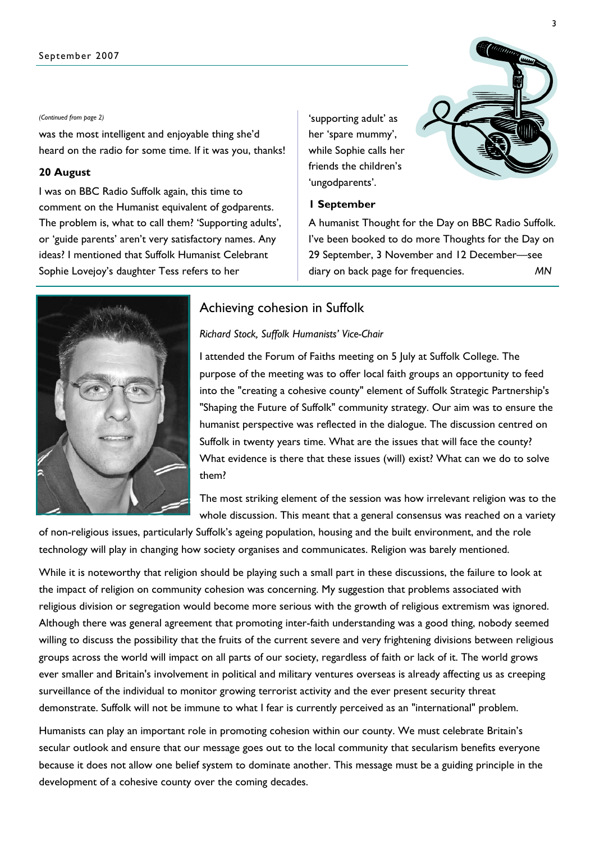#### *(Continued from page 2)*

was the most intelligent and enjoyable thing she'd heard on the radio for some time. If it was you, thanks!

## **20 August**

I was on BBC Radio Suffolk again, this time to comment on the Humanist equivalent of godparents. The problem is, what to call them? 'Supporting adults', or 'guide parents' aren't very satisfactory names. Any ideas? I mentioned that Suffolk Humanist Celebrant Sophie Lovejoy's daughter Tess refers to her

'supporting adult' as her 'spare mummy', while Sophie calls her friends the children's 'ungodparents'.

#### **1 September**

A humanist Thought for the Day on BBC Radio Suffolk. I've been booked to do more Thoughts for the Day on 29 September, 3 November and 12 December—see diary on back page for frequencies. *MN* 



## Achieving cohesion in Suffolk

*Richard Stock, Suffolk Humanists' Vice-Chair* 

I attended the Forum of Faiths meeting on 5 July at Suffolk College. The purpose of the meeting was to offer local faith groups an opportunity to feed into the "creating a cohesive county" element of Suffolk Strategic Partnership's "Shaping the Future of Suffolk" community strategy. Our aim was to ensure the humanist perspective was reflected in the dialogue. The discussion centred on Suffolk in twenty years time. What are the issues that will face the county? What evidence is there that these issues (will) exist? What can we do to solve them?

The most striking element of the session was how irrelevant religion was to the whole discussion. This meant that a general consensus was reached on a variety

of non-religious issues, particularly Suffolk's ageing population, housing and the built environment, and the role technology will play in changing how society organises and communicates. Religion was barely mentioned.

While it is noteworthy that religion should be playing such a small part in these discussions, the failure to look at the impact of religion on community cohesion was concerning. My suggestion that problems associated with religious division or segregation would become more serious with the growth of religious extremism was ignored. Although there was general agreement that promoting inter-faith understanding was a good thing, nobody seemed willing to discuss the possibility that the fruits of the current severe and very frightening divisions between religious groups across the world will impact on all parts of our society, regardless of faith or lack of it. The world grows ever smaller and Britain's involvement in political and military ventures overseas is already affecting us as creeping surveillance of the individual to monitor growing terrorist activity and the ever present security threat demonstrate. Suffolk will not be immune to what I fear is currently perceived as an "international" problem.

Humanists can play an important role in promoting cohesion within our county. We must celebrate Britain's secular outlook and ensure that our message goes out to the local community that secularism benefits everyone because it does not allow one belief system to dominate another. This message must be a guiding principle in the development of a cohesive county over the coming decades.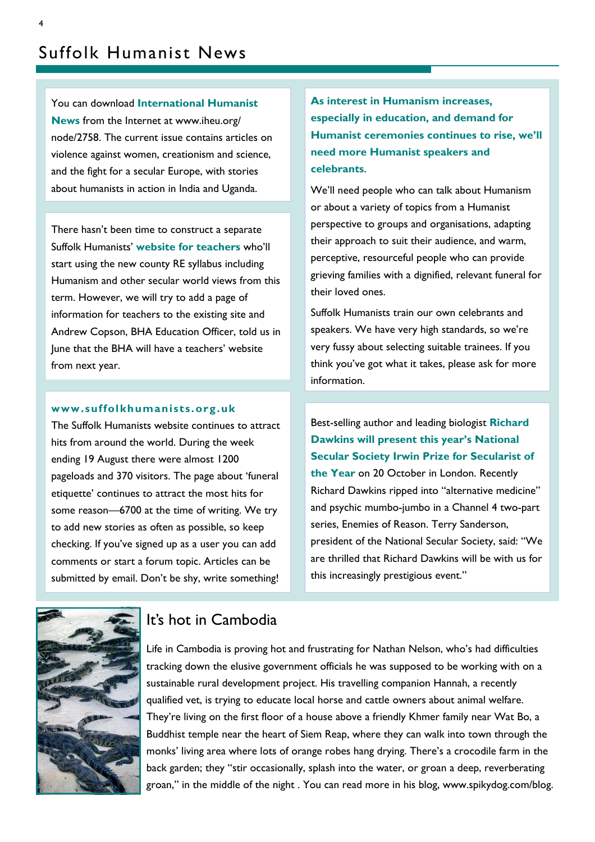You can download **International Humanist News** from the Internet at www.iheu.org/ node/2758. The current issue contains articles on violence against women, creationism and science, and the fight for a secular Europe, with stories about humanists in action in India and Uganda.

There hasn't been time to construct a separate Suffolk Humanists' **website for teachers** who'll start using the new county RE syllabus including Humanism and other secular world views from this term. However, we will try to add a page of information for teachers to the existing site and Andrew Copson, BHA Education Officer, told us in June that the BHA will have a teachers' website from next year.

#### **www.suffolkhumanists.org.uk**

The Suffolk Humanists website continues to attract hits from around the world. During the week ending 19 August there were almost 1200 pageloads and 370 visitors. The page about 'funeral etiquette' continues to attract the most hits for some reason—6700 at the time of writing. We try to add new stories as often as possible, so keep checking. If you've signed up as a user you can add comments or start a forum topic. Articles can be submitted by email. Don't be shy, write something!

**As interest in Humanism increases, especially in education, and demand for Humanist ceremonies continues to rise, we'll need more Humanist speakers and celebrants**.

We'll need people who can talk about Humanism or about a variety of topics from a Humanist perspective to groups and organisations, adapting their approach to suit their audience, and warm, perceptive, resourceful people who can provide grieving families with a dignified, relevant funeral for their loved ones.

Suffolk Humanists train our own celebrants and speakers. We have very high standards, so we're very fussy about selecting suitable trainees. If you think you've got what it takes, please ask for more information.

Best-selling author and leading biologist **Richard Dawkins will present this year's National Secular Society Irwin Prize for Secularist of the Year** on 20 October in London. Recently Richard Dawkins ripped into "alternative medicine" and psychic mumbo-jumbo in a Channel 4 two-part series, Enemies of Reason. Terry Sanderson, president of the National Secular Society, said: "We are thrilled that Richard Dawkins will be with us for this increasingly prestigious event."



# It's hot in Cambodia

Life in Cambodia is proving hot and frustrating for Nathan Nelson, who's had difficulties tracking down the elusive government officials he was supposed to be working with on a sustainable rural development project. His travelling companion Hannah, a recently qualified vet, is trying to educate local horse and cattle owners about animal welfare. They're living on the first floor of a house above a friendly Khmer family near Wat Bo, a Buddhist temple near the heart of Siem Reap, where they can walk into town through the monks' living area where lots of orange robes hang drying. There's a crocodile farm in the back garden; they "stir occasionally, splash into the water, or groan a deep, reverberating groan," in the middle of the night . You can read more in his blog, www.spikydog.com/blog.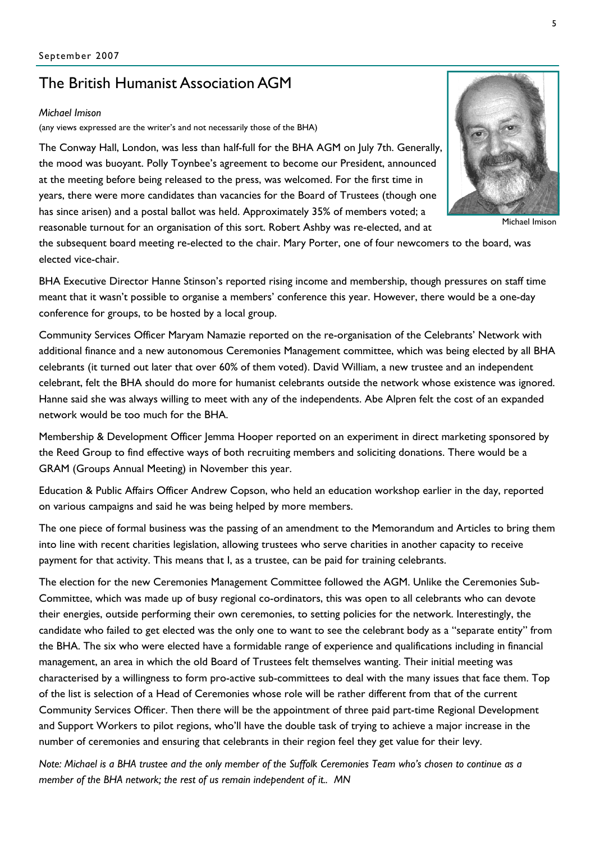# The British Humanist Association AGM

#### *Michael Imison*

(any views expressed are the writer's and not necessarily those of the BHA)

The Conway Hall, London, was less than half-full for the BHA AGM on July 7th. Generally, the mood was buoyant. Polly Toynbee's agreement to become our President, announced at the meeting before being released to the press, was welcomed. For the first time in years, there were more candidates than vacancies for the Board of Trustees (though one has since arisen) and a postal ballot was held. Approximately 35% of members voted; a reasonable turnout for an organisation of this sort. Robert Ashby was re-elected, and at



Michael Imison

the subsequent board meeting re-elected to the chair. Mary Porter, one of four newcomers to the board, was elected vice-chair.

BHA Executive Director Hanne Stinson's reported rising income and membership, though pressures on staff time meant that it wasn't possible to organise a members' conference this year. However, there would be a one-day conference for groups, to be hosted by a local group.

Community Services Officer Maryam Namazie reported on the re-organisation of the Celebrants' Network with additional finance and a new autonomous Ceremonies Management committee, which was being elected by all BHA celebrants (it turned out later that over 60% of them voted). David William, a new trustee and an independent celebrant, felt the BHA should do more for humanist celebrants outside the network whose existence was ignored. Hanne said she was always willing to meet with any of the independents. Abe Alpren felt the cost of an expanded network would be too much for the BHA.

Membership & Development Officer Jemma Hooper reported on an experiment in direct marketing sponsored by the Reed Group to find effective ways of both recruiting members and soliciting donations. There would be a GRAM (Groups Annual Meeting) in November this year.

Education & Public Affairs Officer Andrew Copson, who held an education workshop earlier in the day, reported on various campaigns and said he was being helped by more members.

The one piece of formal business was the passing of an amendment to the Memorandum and Articles to bring them into line with recent charities legislation, allowing trustees who serve charities in another capacity to receive payment for that activity. This means that I, as a trustee, can be paid for training celebrants.

The election for the new Ceremonies Management Committee followed the AGM. Unlike the Ceremonies Sub-Committee, which was made up of busy regional co-ordinators, this was open to all celebrants who can devote their energies, outside performing their own ceremonies, to setting policies for the network. Interestingly, the candidate who failed to get elected was the only one to want to see the celebrant body as a "separate entity" from the BHA. The six who were elected have a formidable range of experience and qualifications including in financial management, an area in which the old Board of Trustees felt themselves wanting. Their initial meeting was characterised by a willingness to form pro-active sub-committees to deal with the many issues that face them. Top of the list is selection of a Head of Ceremonies whose role will be rather different from that of the current Community Services Officer. Then there will be the appointment of three paid part-time Regional Development and Support Workers to pilot regions, who'll have the double task of trying to achieve a major increase in the number of ceremonies and ensuring that celebrants in their region feel they get value for their levy.

*Note: Michael is a BHA trustee and the only member of the Suffolk Ceremonies Team who's chosen to continue as a member of the BHA network; the rest of us remain independent of it.. MN*